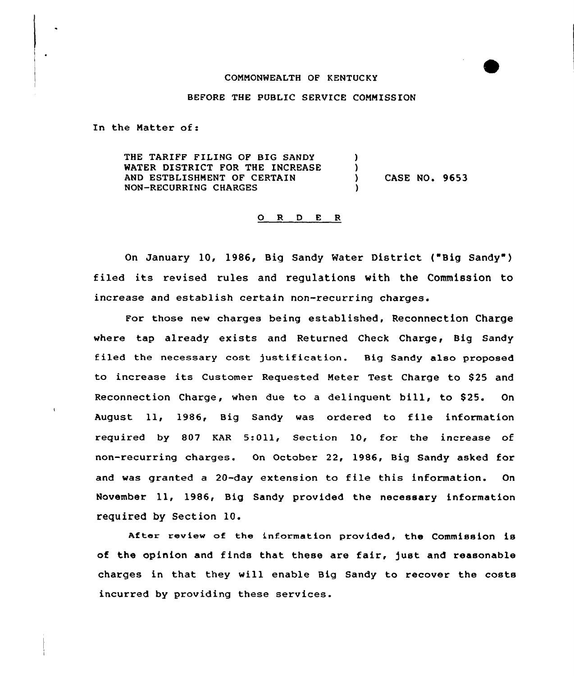## COMMONWEALTH OF KENTUCKY

#### BEFORE THE PUBLIC SERVICE COMMISSION

In the Matter of:

THE TARIFF FILING OF BIG SANDY WATER DISTRICT FOR THE INCREASE AND ESTBLISHMENT OF CERTAIN NON-RECURRING CHARGES ) ) )

) CASE NO. 9653

## 0 R <sup>D</sup> E <sup>R</sup>

On January 10, 1986, Big Sandy Water District ("Big Sandy") filed its revised rules and regulations with the Commission to increase and establish certain non-recurring charges.

For those new charges being established, Reconnection Charge where tap already exists and Returned Check Charge, Big Sandy filed the necessary cost justification. Big Sandy also proposed to increase its Customer Requested Meter Test Charge to \$25 and Reconnection Charge, when due to a delinguent bill, to \$25. On August ll, 1986, Big Sandy was ordered to file information required by 807 KAR 5:Oll, Section 10, for the increase of non-recurring charges. On October 22, 1986, Big Sandy asked for and was granted <sup>a</sup> 20-day extension to file this information. On November 11, 1986, Big Sandy provided the necessary information required by Section 10.

After review of the information provided, the Commission is of the opinion and finds that these are fair, Just and reasonable charges in that they will enable Big Sandy to recover the costs incurred by providing these services.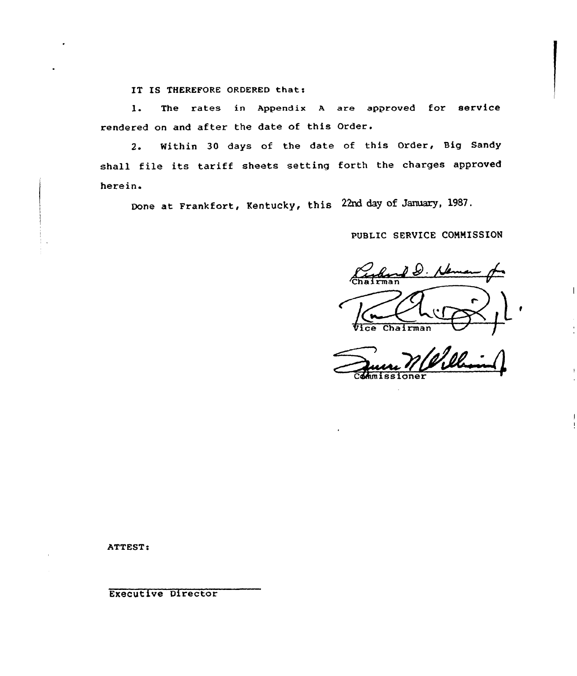IT IS THEREFORE ORDERED that:

1. The rates in Appendix <sup>A</sup> are approved for service rendered on and after the date of this Order.

2. Within 30 days of the date of this Order, Big Sandy shall file its tariff sheets setting forth the charges approved herein.

Done at Frankfort, Kentucky< this 22rd day of January, 1987.

PUBLIC SERVICE COMMISSION

and D. New r f ce Chairman /

Commissione

ATTEST:

Executive Director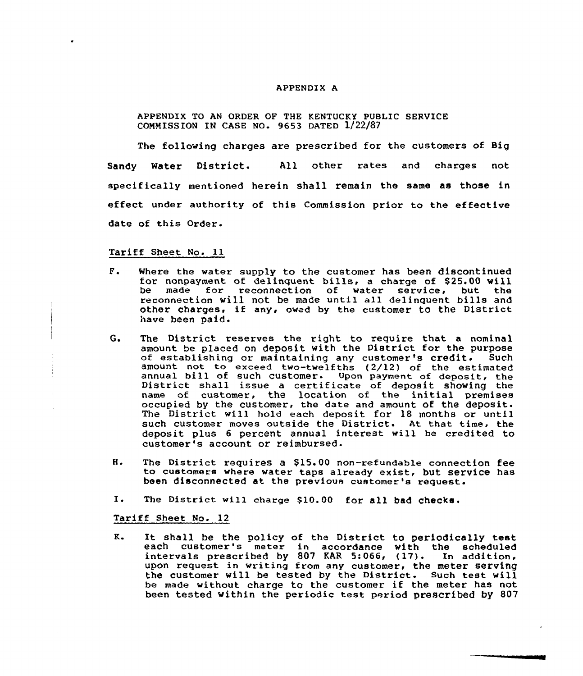### APPENDIX A

## APPENDIX TO AN ORDER OF THE KENTUCKY PUBLIC SERVICE CONNISSION IN CASE NO. 9653 DATED 1/22/87

The following charges are prescribed for the customers of Big Sandy Water District. All other rates and charges not specifically mentioned herein shall remain the same as those in effect under authority of this Commission prior to the effective date of this Order.

### Tariff Sheet No. ll

- $F$ . Where the water supply to the customer has been discontinued miere the water supply to the customer has been discontinued be made for reconnection of water service, but the be made for reconnection of water service, but the<br>reconnection will not be made until all delinquent bills and other charges< if any< owed by the customex to the District have been paid.
- $G_{\bullet}$ The District reserves the right to require that a nominal amount be placed on deposit with the District for the purpose<br>of establishing or maintaining any customer's credit. Such of establishing or maintaining any customer's credit. amount not to exceed two-twelfths (2/12) of the estimated annual bill of such customer. Upon payment of deposit, the District shall issue <sup>a</sup> certificate of deposit shoving the name of customer, the location of the initial premises occupied by the customer, the date and amount of the deposit. The District will hold each deposit for 18 months or until such customer moves outside the District. At that time, the deposit plus <sup>6</sup> percent annual interest will be credited to customer's account or reimbursed.
- H. The District requires a \$15.00 non-refundable connection fee to customers where water taps already exist, but service has been disconnected at the previous customer's request.<br>I. The District will charge \$10.00 for all bad checks.
- 

## Tariff Sheet No. 12

 $K$ . lt shall be the policy of the District to periodically test each customer's meter in accordance with the schedule each cuscomer's meter in accordance with the schedult upon request in writing from any customer, the meter serving the customer will be tested by the District. Such test will be made without charge to the customer if the meter has not been tested within the periodic test period prescribed by 807